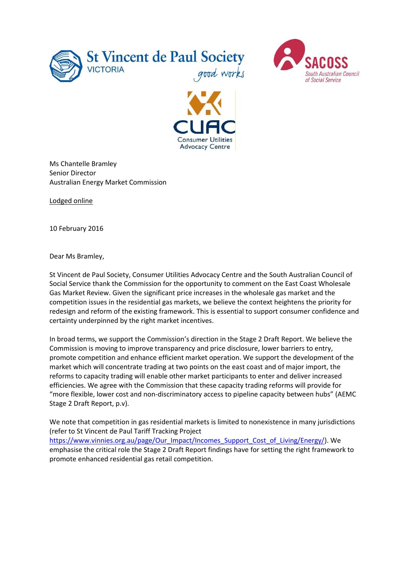





Ms Chantelle Bramley Senior Director Australian Energy Market Commission

Lodged online

10 February 2016

Dear Ms Bramley,

St Vincent de Paul Society, Consumer Utilities Advocacy Centre and the South Australian Council of Social Service thank the Commission for the opportunity to comment on the East Coast Wholesale Gas Market Review. Given the significant price increases in the wholesale gas market and the competition issues in the residential gas markets, we believe the context heightens the priority for redesign and reform of the existing framework. This is essential to support consumer confidence and certainty underpinned by the right market incentives.

In broad terms, we support the Commission's direction in the Stage 2 Draft Report. We believe the Commission is moving to improve transparency and price disclosure, lower barriers to entry, promote competition and enhance efficient market operation. We support the development of the market which will concentrate trading at two points on the east coast and of major import, the reforms to capacity trading will enable other market participants to enter and deliver increased efficiencies. We agree with the Commission that these capacity trading reforms will provide for "more flexible, lower cost and non-discriminatory access to pipeline capacity between hubs" (AEMC Stage 2 Draft Report, p.v).

We note that competition in gas residential markets is limited to nonexistence in many jurisdictions (refer to St Vincent de Paul Tariff Tracking Project

[https://www.vinnies.org.au/page/Our\\_Impact/Incomes\\_Support\\_Cost\\_of\\_Living/Energy/\)](https://www.vinnies.org.au/page/Our_Impact/Incomes_Support_Cost_of_Living/Energy/). We emphasise the critical role the Stage 2 Draft Report findings have for setting the right framework to promote enhanced residential gas retail competition.